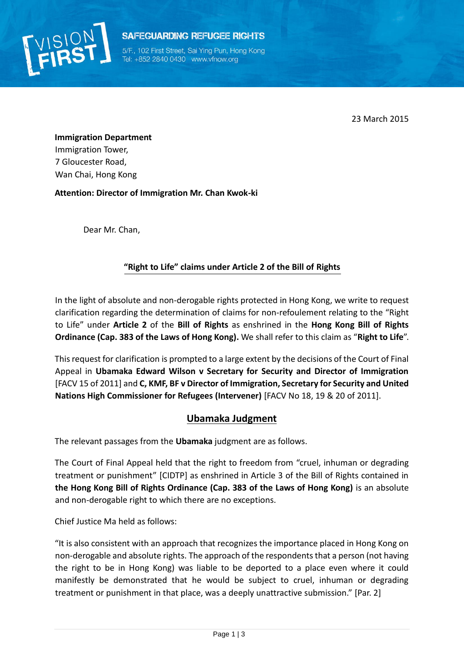

**SAFEGUARDING REFUGEE RIGHTS** 

5/F., 102 First Street, Sai Ying Pun, Hong Kong Tel: +852 2840 0430 www.vfnow.org

23 March 2015

**Immigration Department** Immigration Tower, 7 Gloucester Road, Wan Chai, Hong Kong

**Attention: Director of Immigration Mr. Chan Kwok-ki** 

Dear Mr. Chan,

## **"Right to Life" claims under Article 2 of the Bill of Rights**

In the light of absolute and non-derogable rights protected in Hong Kong, we write to request clarification regarding the determination of claims for non-refoulement relating to the "Right to Life" under **Article 2** of the **Bill of Rights** as enshrined in the **Hong Kong Bill of Rights Ordinance (Cap. 383 of the Laws of Hong Kong).** We shall refer to this claim as "**Right to Life**".

This request for clarification is prompted to a large extent by the decisions of the Court of Final Appeal in **Ubamaka Edward Wilson v Secretary for Security and Director of Immigration** [FACV 15 of 2011] and **C, KMF, BF v Director of Immigration, Secretary for Security and United Nations High Commissioner for Refugees (Intervener)** [FACV No 18, 19 & 20 of 2011].

## **Ubamaka Judgment**

The relevant passages from the **Ubamaka** judgment are as follows.

The Court of Final Appeal held that the right to freedom from "cruel, inhuman or degrading treatment or punishment" [CIDTP] as enshrined in Article 3 of the Bill of Rights contained in **the Hong Kong Bill of Rights Ordinance (Cap. 383 of the Laws of Hong Kong)** is an absolute and non-derogable right to which there are no exceptions.

Chief Justice Ma held as follows:

"It is also consistent with an approach that recognizes the importance placed in Hong Kong on non-derogable and absolute rights. The approach of the respondents that a person (not having the right to be in Hong Kong) was liable to be deported to a place even where it could manifestly be demonstrated that he would be subject to cruel, inhuman or degrading treatment or punishment in that place, was a deeply unattractive submission." [Par. 2]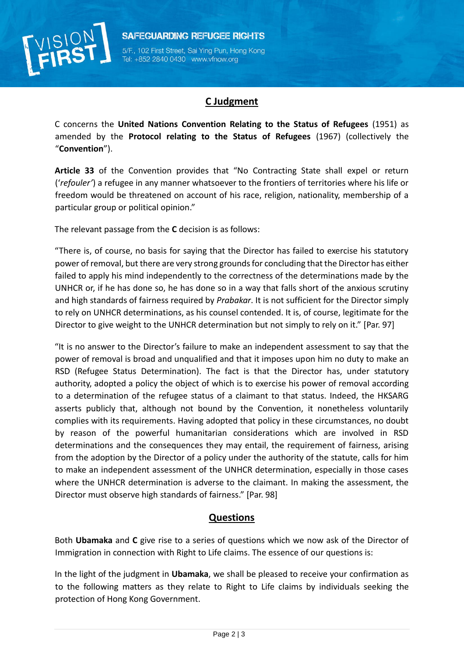

5/F., 102 First Street, Sai Ying Pun, Hong Kong Tel: +852 2840 0430 www.vfnow.org

## **C Judgment**

C concerns the **United Nations Convention Relating to the Status of Refugees** (1951) as amended by the **Protocol relating to the Status of Refugees** (1967) (collectively the "**Convention**").

**Article 33** of the Convention provides that "No Contracting State shall expel or return ('*refouler'*) a refugee in any manner whatsoever to the frontiers of territories where his life or freedom would be threatened on account of his race, religion, nationality, membership of a particular group or political opinion."

The relevant passage from the **C** decision is as follows:

"There is, of course, no basis for saying that the Director has failed to exercise his statutory power of removal, but there are very strong grounds for concluding that the Director has either failed to apply his mind independently to the correctness of the determinations made by the UNHCR or, if he has done so, he has done so in a way that falls short of the anxious scrutiny and high standards of fairness required by *Prabakar*. It is not sufficient for the Director simply to rely on UNHCR determinations, as his counsel contended. It is, of course, legitimate for the Director to give weight to the UNHCR determination but not simply to rely on it." [Par. 97]

"It is no answer to the Director's failure to make an independent assessment to say that the power of removal is broad and unqualified and that it imposes upon him no duty to make an RSD (Refugee Status Determination). The fact is that the Director has, under statutory authority, adopted a policy the object of which is to exercise his power of removal according to a determination of the refugee status of a claimant to that status. Indeed, the HKSARG asserts publicly that, although not bound by the Convention, it nonetheless voluntarily complies with its requirements. Having adopted that policy in these circumstances, no doubt by reason of the powerful humanitarian considerations which are involved in RSD determinations and the consequences they may entail, the requirement of fairness, arising from the adoption by the Director of a policy under the authority of the statute, calls for him to make an independent assessment of the UNHCR determination, especially in those cases where the UNHCR determination is adverse to the claimant. In making the assessment, the Director must observe high standards of fairness." [Par. 98]

## **Questions**

Both **Ubamaka** and **C** give rise to a series of questions which we now ask of the Director of Immigration in connection with Right to Life claims. The essence of our questions is:

In the light of the judgment in **Ubamaka**, we shall be pleased to receive your confirmation as to the following matters as they relate to Right to Life claims by individuals seeking the protection of Hong Kong Government.